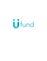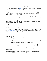### AWARD DESCRIPTION

The UFund is being established by [Ugenie](https://www.ugenie.io/) founders Susan & Fahim Kabani and 6C Ventures to give back to the startup community through an investment of their time, money and technology. Having built Ugenie from the ground up, they have gone through many startup growing pains themselves and learned a lot of lessons! This new fund is their way to pay it forward and support other founders in bringing their visions to life, especially those with community at the heart of the business model.

As they have just successfully raised SEED funding, both founders have been reflecting on how far Ugenie has come and what brought them to this point. Through this process, they realised that their know-low and the Ugenie platform could be leveraged by other startups with certain business models to build a MVP, saving founders a lot of the time and stress that Susan & Fahim experienced building Ugenie V1. This would further enable the founder(s) to validate their business prior to raising their first round.

In addition to financial investment into Ugenie, the Ugenie founders have been fortunate to receive a lot of support from experts in the London startup ecosystem. Without this additional support, they would not be in the position they are today, ready to scale Ugenie.

Thus, in addition to funding, Ugenie and 6C Ventures have also partnered with Avitrex Ltd and the **[Entrepreneurs](https://entrepreneurscollective.biz/) Collective** to bring a range of additional expertise and experience to share with the recipients through 1-2-1 support and a group mastermind.

# **Eligibility**

Eligible startups must:

- Be membership or community-oriented\*
- Provide a pitch deck
- Be SEIS eligible (investment will be made into the recipient companies in lieu of equity)
- Be willing to participate in the UFund Founder Mastermind
- Be able to leverage the Ugenie technology within their tech stack

\* Community-based business models are gaining momentum as companies aim to intensify their customer engagement activities with relevant and great customer experiences. The community model is a method of developing an online presence in which several individuals or groups are encouraged to join and participate in ongoing interaction designed around a common purpose.

Examples of specific types of business types include: membership or subscription businesses within a variety of industries, clubs, associations, networking groups, coaching or learning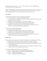organisations, educational apps. If you are not sure whether your idea is eligible, please contact Susan Kabani at [susan@ugenie.io](mailto:susan@ugenie.io).

Please note that although uFund is open to startups at any stage of the journey, we want to see that you have thoroughly looked at the problem you are trying to solve, how your proposed solution solves this problem, the market opportunity and the revenue model.

### The Awards

3 recipients will be offered a package consisting of the following:

- A financial investment of up to £15,000 into the startup
- An investment of up to £5000 to build a MVP iOS and/or Android app leveraging uApp, Ugenie's white label technology
- Mentorship from experts from the London startup ecosystem
- Participation in the uFund Mastermind with other successful recipients
- 6-Month Seed Level Membership from the Entrepreneurs Collective
- Ability to pitch to 6C Ventures and other angels in Ugenie's network for follow-on capital in a live pitch event at the beginning of 2022

7 recipients will be awarded the following:

- Annual contract on Ugenie Hubs+
- Mentorship from experts from the London startup ecosystem and
- Participation in the uFund Mastermind with other successful recipients
- 6-Month Seed Level Membership from the Entrepreneurs Collective
- Ability to pitch to 6C Ventures and other angels in Ugenie's network for follow-on capital in a live pitch event at the beginning of 2022

# **Mastermind**

Award recipients will participate in the 6-month uFund Mastermind consisting of the following:

- Monthly session led by Ugenie founder Susan Kabani on startup challenges
- Monthly session by an expert on relevant topics from fundraising to marketing
- Connecting with relevant experts on specific topics based on the challenges uncovered in Mastermind Sessions
- Access to additional resources in the community hub including access to Ugenie's 'How to Build an Online Community Mastermind Content.'

The expert monthly session will focus on the following topics:

- Month 1 Idea: Problem, Solution, Testing & Product Market Fit
- Month 2 Numbers: Metrics, Financial Modeling & R&D Tax Credits
- Month 3 Growth: Brand & Marketing
- Month 4 Customers: Acquisitions & Retention